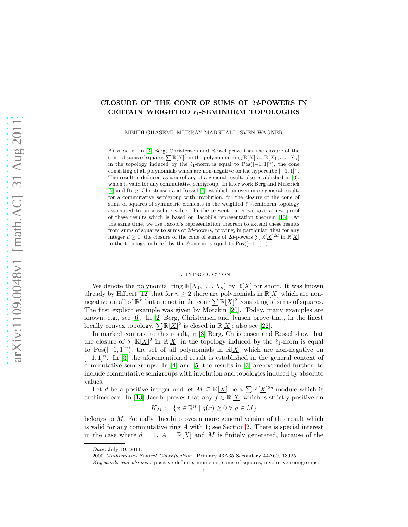# CLOSURE OF THE CONE OF SUMS OF 2d-POWERS IN CERTAIN WEIGHTED ℓ1-SEMINORM TOPOLOGIES

MEHDI GHASEMI, MURRAY MARSHALL, SVEN WAGNER

Abstract. In [\[3\]](#page-11-0) Berg, Christensen and Ressel prove that the closure of the cone of sums of squares  $\sum \mathbb{R}[X]^2$  in the polynomial ring  $\mathbb{R}[X] := \mathbb{R}[X_1, \ldots, X_n]$ in the topology induced by the  $\ell_1$ -norm is equal to Pos([-1,1]<sup>n</sup>), the cone consisting of all polynomials which are non-negative on the hypercube  $[-1, 1]^n$ . The result is deduced as a corollary of a general result, also established in [\[3\]](#page-11-0), which is valid for any commutative semigroup. In later work Berg and Maserick [\[5\]](#page-11-1) and Berg, Christensen and Ressel [\[4\]](#page-11-2) establish an even more general result, for a commutative semigroup with involution, for the closure of the cone of sums of squares of symmetric elements in the weighted  $\ell_1$ -seminorm topology associated to an absolute value. In the present paper we give a new proof of these results which is based on Jacobi's representation theorem [\[13\]](#page-11-3). At the same time, we use Jacobi's representation theorem to extend these results from sums of squares to sums of 2d-powers, proving, in particular, that for any integer  $d \geq 1$ , the closure of the cone of sums of  $2d$ -powers  $\sum \mathbb{R}[X]^{2d}$  in  $\mathbb{R}[\underline{X}]$ in the topology induced by the  $\ell_1$ -norm is equal to Pos([-1, 1]<sup>n</sup>).

# 1. INTRODUCTION

We denote the polynomial ring  $\mathbb{R}[X_1, \ldots, X_n]$  by  $\mathbb{R}[\underline{X}]$  for short. It was known already by Hilbert [\[12\]](#page-11-4) that for  $n \geq 2$  there are polynomials in  $\mathbb{R}[X]$  which are nonnegative on all of  $\mathbb{R}^n$  but are not in the cone  $\sum \mathbb{R}[\underline{X}]^2$  consisting of sums of squares. The first explicit example was given by Motzkin [\[20\]](#page-11-5). Today, many examples are known, e.g., see [\[6\]](#page-11-6). In [\[2\]](#page-11-7) Berg, Christensen and Jensen prove that, in the finest locally convex topology,  $\sum \mathbb{R}[\underline{X}]^2$  is closed in  $\mathbb{R}[\underline{X}]$ ; also see [\[22\]](#page-11-8).

In marked contrast to this result, in [\[3\]](#page-11-0) Berg, Christensen and Ressel show that the closure of  $\sum \mathbb{R}[\underline{X}]^2$  in  $\mathbb{R}[\underline{X}]$  in the topology induced by the  $\ell_1$ -norm is equal to Pos( $[-1, 1]$ <sup>n</sup>), the set of all polynomials in R[X] which are non-negative on  $[-1, 1]^n$ . In [\[3\]](#page-11-0) the aforementioned result is established in the general context of commutative semigroups. In [\[4\]](#page-11-2) and [\[5\]](#page-11-1) the results in [\[3\]](#page-11-0) are extended further, to include commutative semigroups with involution and topologies induced by absolute values.

Let d be a positive integer and let  $M \subseteq \mathbb{R}[\underline{X}]$  be a  $\sum \mathbb{R}[\underline{X}]^{2d}$ -module which is archimedean. In [\[13\]](#page-11-3) Jacobi proves that any  $f \in \mathbb{R}[\underline{X}]$  which is strictly positive on

$$
K_M:=\{\underline{x}\in\mathbb{R}^n\mid g(\underline{x})\geq 0\ \forall\ g\in M\}
$$

belongs to M. Actually, Jacobi proves a more general version of this result which is valid for any commutative ring  $A$  with 1; see Section [2.](#page-1-0) There is special interest in the case where  $d = 1$ ,  $A = \mathbb{R}[\underline{X}]$  and M is finitely generated, because of the

Date: July 19, 2011.

<sup>2000</sup> Mathematics Subject Classification. Primary 43A35 Secondary 44A60, 13J25.

Key words and phrases. positive definite, moments, sums of squares, involutive semigroups.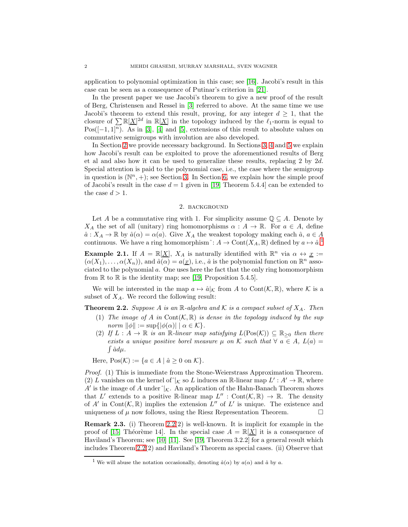application to polynomial optimization in this case; see [\[16\]](#page-11-9). Jacobi's result in this case can be seen as a consequence of Putinar's criterion in [\[21\]](#page-11-10).

In the present paper we use Jacobi's theorem to give a new proof of the result of Berg, Christensen and Ressel in [\[3\]](#page-11-0) referred to above. At the same time we use Jacobi's theorem to extend this result, proving, for any integer  $d \geq 1$ , that the closure of  $\sum \mathbb{R}[\underline{X}]^{2d}$  in  $\mathbb{R}[\underline{X}]$  in the topology induced by the  $\ell_1$ -norm is equal to Pos( $[-1, 1]$ <sup>n</sup>). As in [\[3\]](#page-11-0), [\[4\]](#page-11-2) and [\[5\]](#page-11-1), extensions of this result to absolute values on commutative semigroups with involution are also developed.

In Section [2](#page-1-0) we provide necessary background. In Sections [3,](#page-3-0) [4](#page-5-0) and [5](#page-7-0) we explain how Jacobi's result can be exploited to prove the aforementioned results of Berg et al and also how it can be used to generalize these results, replacing 2 by 2d. Special attention is paid to the polynomial case, i.e., the case where the semigroup in question is  $(\mathbb{N}^n, +)$ ; see Section [3.](#page-3-0) In Section [6,](#page-9-0) we explain how the simple proof of Jacobi's result in the case  $d = 1$  given in [\[19,](#page-11-11) Theorem 5.4.4] can be extended to the case  $d > 1$ .

### 2. background

<span id="page-1-0"></span>Let A be a commutative ring with 1. For simplicity assume  $\mathbb{Q} \subseteq A$ . Denote by  $X_A$  the set of all (unitary) ring homomorphisms  $\alpha : A \to \mathbb{R}$ . For  $a \in A$ , define  $\hat{a}: X_A \to \mathbb{R}$  by  $\hat{a}(\alpha) = \alpha(a)$ . Give  $X_A$  the weakest topology making each  $\hat{a}, a \in A$ continuous. We have a ring homomorphism $\hat{f}: A \to \text{Cont}(X_A, \mathbb{R})$  defined by  $a \mapsto \hat{a}$ .<sup>[1](#page-1-1)</sup>

**Example 2.1.** If  $A = \mathbb{R}[\underline{X}]$ ,  $X_A$  is naturally identified with  $\mathbb{R}^n$  via  $\alpha \leftrightarrow \underline{x} :=$  $(\alpha(X_1), \ldots, \alpha(X_n))$ , and  $\hat{a}(\alpha) = a(\underline{x})$ , i.e.,  $\hat{a}$  is the polynomial function on  $\mathbb{R}^n$  associated to the polynomial a. One uses here the fact that the only ring homomorphism from  $\mathbb R$  to  $\mathbb R$  is the identity map; see [\[19,](#page-11-11) Proposition 5.4.5].

We will be interested in the map  $a \mapsto \hat{a}|_{\mathcal{K}}$  from A to Cont $(\mathcal{K}, \mathbb{R})$ , where K is a subset of  $X_A$ . We record the following result:

<span id="page-1-2"></span>**Theorem 2.2.** Suppose A is an  $\mathbb{R}$ -algebra and K is a compact subset of  $X_A$ . Then

- (1) The image of A in Cont $(\mathcal{K}, \mathbb{R})$  is dense in the topology induced by the sup norm  $\|\phi\| := \sup\{|\phi(\alpha)| \mid \alpha \in \mathcal{K}\}.$
- (2) If  $L : A \to \mathbb{R}$  is an  $\mathbb{R}$ -linear map satisfying  $L(Pos(\mathcal{K})) \subseteq \mathbb{R}_{\geq 0}$  then there exists a unique positive borel measure  $\mu$  on K such that  $\forall a \in A$ ,  $L(a) =$  $\int \hat{a} d\mu$ .

Here,  $Pos(\mathcal{K}) := \{a \in A \mid \hat{a} \geq 0 \text{ on } \mathcal{K}\}.$ 

Proof. (1) This is immediate from the Stone-Weierstrass Approximation Theorem. (2) L vanishes on the kernel of  $\vert_K$  so L induces an R-linear map  $L': A' \to \mathbb{R}$ , where A' is the image of A under  $\chi$ . An application of the Hahn-Banach Theorem shows that L' extends to a positive R-linear map  $L'' : \text{Cont}(\mathcal{K}, \mathbb{R}) \to \mathbb{R}$ . The density of A' in Cont $(\mathcal{K}, \mathbb{R})$  implies the extension  $L''$  of  $L'$  is unique. The existence and uniqueness of  $\mu$  now follows, using the Riesz Representation Theorem.  $\Box$ 

**Remark 2.3.** (i) Theorem [2.2\(](#page-1-2)2) is well-known. It is implicit for example in the proof of [\[15,](#page-11-12) Théorème 14]. In the special case  $A = \mathbb{R}[\underline{X}]$  it is a consequence of Haviland's Theorem; see [\[10\]](#page-11-13) [\[11\]](#page-11-14). See [\[19,](#page-11-11) Theorem 3.2.2] for a general result which includes Theorem [2.2\(](#page-1-2)2) and Haviland's Theorem as special cases. (ii) Observe that

<span id="page-1-1"></span><sup>&</sup>lt;sup>1</sup> We will abuse the notation occasionally, denoting  $\hat{a}(\alpha)$  by  $a(\alpha)$  and  $\hat{a}$  by a.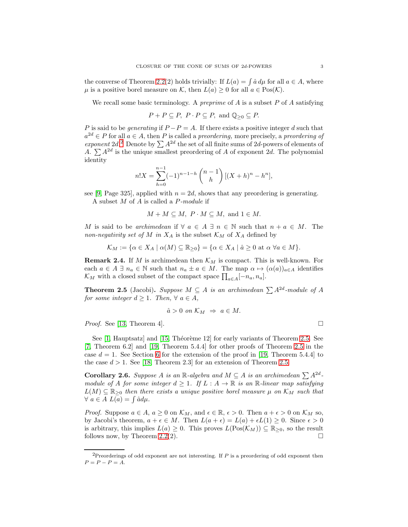the converse of Theorem [2.2\(](#page-1-2)2) holds trivially: If  $L(a) = \int \hat{a} \, d\mu$  for all  $a \in A$ , where  $\mu$  is a positive borel measure on K, then  $L(a) \geq 0$  for all  $a \in \text{Pos}(\mathcal{K})$ .

We recall some basic terminology. A *preprime* of  $A$  is a subset  $P$  of  $A$  satisfying

 $P + P \subseteq P$ ,  $P \cdot P \subseteq P$ , and  $\mathbb{Q}_{\geq 0} \subseteq P$ .

P is said to be *generating* if  $P - P = A$ . If there exists a positive integer d such that  $a^{2d} \in P$  for all  $a \in A$ , then P is called a preordering, more precisely, a preordering of exponent [2](#page-2-0)d.<sup>2</sup> Denote by  $\sum A^{2d}$  the set of all finite sums of 2d-powers of elements of A.  $\sum A^{2d}$  is the unique smallest preordering of A of exponent 2d. The polynomial identity

$$
n!X = \sum_{h=0}^{n-1} (-1)^{n-1-h} \binom{n-1}{h} [(X+h)^n - h^n],
$$

see [\[9,](#page-11-15) Page 325], applied with  $n = 2d$ , shows that any preordering is generating. A subset M of A is called a P-module if

 $M + M \subseteq M$ ,  $P \cdot M \subseteq M$ , and  $1 \in M$ .

M is said to be archimedean if  $\forall a \in A \exists n \in \mathbb{N}$  such that  $n + a \in M$ . The non-negativity set of M in  $X_A$  is the subset  $\mathcal{K}_M$  of  $X_A$  defined by

 $\mathcal{K}_M := {\alpha \in X_A \mid \alpha(M) \subseteq \mathbb{R}_{\geq 0}} = {\alpha \in X_A \mid \hat{a} \geq 0 \text{ at } \alpha \; \forall a \in M}.$ 

**Remark 2.4.** If M is archimedean then  $\mathcal{K}_M$  is compact. This is well-known. For each  $a \in A \exists n_a \in \mathbb{N}$  such that  $n_a \pm a \in M$ . The map  $\alpha \mapsto (\alpha(a))_{a \in A}$  identifies  $\mathcal{K}_M$  with a closed subset of the compact space  $\prod_{a \in A} [-n_a, n_a]$ .

<span id="page-2-1"></span>**Theorem 2.5** (Jacobi). Suppose  $M \subseteq A$  is an archimedean  $\sum A^{2d}$ -module of A for some integer  $d \geq 1$ . Then,  $\forall a \in A$ ,

$$
\hat{a} > 0 \text{ on } \mathcal{K}_M \Rightarrow a \in M.
$$

*Proof.* See [\[13,](#page-11-3) Theorem 4].  $\Box$ 

See  $[1,$  Hauptsatz and  $[15,$  Théorème 12 for early variants of Theorem [2.5.](#page-2-1) See [\[7,](#page-11-17) Theorem 6.2] and [\[19,](#page-11-11) Theorem 5.4.4] for other proofs of Theorem [2.5](#page-2-1) in the case  $d = 1$ . See Section [6](#page-9-0) for the extension of the proof in [\[19,](#page-11-11) Theorem 5.4.4] to the case  $d > 1$ . See [\[18,](#page-11-18) Theorem 2.3] for an extension of Theorem [2.5.](#page-2-1)

Corollary 2.6. Suppose A is an R-algebra and  $M \subseteq A$  is an archimedean  $\sum A^{2d}$ module of A for some integer  $d \geq 1$ . If  $L : A \to \mathbb{R}$  is an  $\mathbb{R}$ -linear map satisfying  $L(M) \subseteq \mathbb{R}_{\geq 0}$  then there exists a unique positive borel measure  $\mu$  on  $\mathcal{K}_M$  such that  $\forall a \in A \ L(a) = \int \hat{a} d\mu.$ 

*Proof.* Suppose  $a \in A$ ,  $a \ge 0$  on  $\mathcal{K}_M$ , and  $\epsilon \in \mathbb{R}$ ,  $\epsilon > 0$ . Then  $a + \epsilon > 0$  on  $\mathcal{K}_M$  so, by Jacobi's theorem,  $a + \epsilon \in M$ . Then  $L(a + \epsilon) = L(a) + \epsilon L(1) \geq 0$ . Since  $\epsilon > 0$ is arbitrary, this implies  $L(a) \geq 0$ . This proves  $L(Pos(\mathcal{K}_M)) \subseteq \mathbb{R}_{\geq 0}$ , so the result follows now, by Theorem 2.2(2). follows now, by Theorem [2.2\(](#page-1-2)2).

<span id="page-2-0"></span><sup>&</sup>lt;sup>2</sup>Preorderings of odd exponent are not interesting. If  $P$  is a preordering of odd exponent then  $P = P - P = A$ .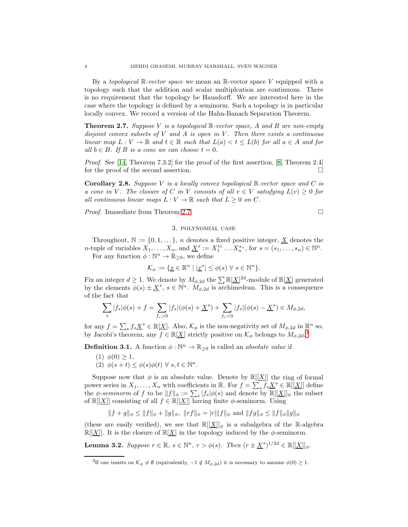By a *topological*  $\mathbb{R}\text{-vector space}$  we mean an  $\mathbb{R}\text{-vector space}$  vector space V equipped with a topology such that the addition and scalar multiplcation are continuous. There is no requirement that the topology be Hausdorff. We are interested here in the case where the topology is defined by a seminorm. Such a topology is in particular locally convex. We record a version of the Hahn-Banach Separation Theorem.

<span id="page-3-1"></span>**Theorem 2.7.** Suppose V is a topological  $\mathbb{R}$ -vector space, A and B are non-empty disjoint convex subsets of  $V$  and  $A$  is open in  $V$ . Then there exists a continuous linear map  $L: V \to \mathbb{R}$  and  $t \in \mathbb{R}$  such that  $L(a) < t \leq L(b)$  for all  $a \in A$  and for all  $b \in B$ . If B is a cone we can choose  $t = 0$ .

*Proof.* See [\[14,](#page-11-19) Theorem 7.3.2] for the proof of the first assertion, [\[8,](#page-11-20) Theorem 2.4] for the proof of the second assertion.

<span id="page-3-4"></span>**Corollary 2.8.** Suppose V is a locally convex topological  $\mathbb{R}$ -vector space and C is a cone in V. The closure of C in V consists of all  $v \in V$  satisfying  $L(v) \geq 0$  for all continuous linear maps  $L : V \to \mathbb{R}$  such that  $L \geq 0$  on C.

<span id="page-3-0"></span>Proof. Immediate from Theorem [2.7.](#page-3-1)

$$
\Box
$$

# 3. polynomial case

Throughout,  $\mathbb{N} := \{0, 1, \ldots\}$ , *n* denotes a fixed positive integer, <u>X</u> denotes the *n*-tuple of variables  $X_1, \ldots, X_n$ , and  $\underline{X}^s := X_1^{s_1} \ldots X_n^{s_n}$ , for  $s = (s_1, \ldots, s_n) \in \mathbb{N}^n$ .

For any function  $\phi : \mathbb{N}^n \to \mathbb{R}_{\geq 0}$ , we define

$$
\mathcal{K}_{\phi} := \{ \underline{x} \in \mathbb{R}^n \mid |\underline{x}^s| \leq \phi(s) \; \forall \; s \in \mathbb{N}^n \}.
$$

Fix an integer  $d \geq 1$ . We denote by  $M_{\phi,2d}$  the  $\sum \mathbb{R}[\underline{X}]^{2d}$ -module of  $\mathbb{R}[\underline{X}]$  generated by the elements  $\phi(s) \pm \underline{X}^s$ ,  $s \in \mathbb{N}^n$ .  $M_{\phi,2d}$  is archimedean. This is a consequence of the fact that

$$
\sum_{s} |f_s| \phi(s) + f = \sum_{f_s > 0} |f_s| (\phi(s) + \underline{X}^s) + \sum_{f_s < 0} |f_s| (\phi(s) - \underline{X}^s) \in M_{\phi, 2d},
$$

for any  $f = \sum_{s} f_s \underline{X}^s \in \mathbb{R}[\underline{X}]$ . Also,  $\mathcal{K}_{\phi}$  is the non-negativity set of  $M_{\phi,2d}$  in  $\mathbb{R}^n$  so, by Jacobi's theorem, any  $f \in \mathbb{R}[\underline{X}]$  strictly positive on  $\mathcal{K}_{\phi}$  belongs to  $M_{\phi,2d}$ .<sup>[3](#page-3-2)</sup>

**Definition 3.1.** A function  $\phi : \mathbb{N}^n \to \mathbb{R}_{\geq 0}$  is called an *absolute value* if

(1)  $\phi(0) > 1$ , (2)  $\phi(s+t) \leq \phi(s)\phi(t) \ \forall \ s,t \in \mathbb{N}^n$ .

Suppose now that  $\phi$  is an absolute value. Denote by  $\mathbb{R}[[X]]$  the ring of formal power series in  $X_1, \ldots, X_n$  with coefficients in  $\mathbb{R}$ . For  $f = \sum_{s} f_s \underline{X}^s \in \mathbb{R}[[\underline{X}]]$  define bower series in  $X_1, \ldots, X_n$  with coefficients in  $\mathbb{R}$ . For  $f = \sum_s s$ ,  $s \Delta t \in \mathbb{R}$  [[ $\Delta$ ]] defined the  $\phi$ -seminorm of f to be  $||f||_{\phi} := \sum_s |f_s| \phi(s)$  and denote by  $\mathbb{R}[[X]]_{\phi}$  the subset

of  $\mathbb{R}[[X]]$  consisting of all  $f \in \mathbb{R}[[X]]$  having finite  $\phi$ -seminorm. Using

$$
\|f+g\|_\phi\leq\|f\|_\phi+\|g\|_\phi,\,\,\|rf\|_\phi=|r|\|f\|_\phi\,\,{\rm and}\,\,\|fg\|_\phi\leq\|f\|_\phi\|g\|_\phi
$$

(these are easily verified), we see that  $\mathbb{R}[[\underline{X}]]_{\phi}$  is a subalgebra of the R-algebra  $\mathbb{R}[[\underline{X}]]$ . It is the closure of  $\mathbb{R}[\underline{X}]$  in the topology induced by the  $\phi$ -seminorm.

<span id="page-3-3"></span>**Lemma 3.2.** Suppose  $r \in \mathbb{R}$ ,  $s \in \mathbb{N}^n$ ,  $r > \phi(s)$ . Then  $(r \pm \underline{X}^s)^{1/2d} \in \mathbb{R}[[\underline{X}]]_{\phi}$ .

<span id="page-3-2"></span><sup>&</sup>lt;sup>3</sup>If one insists on  $\mathcal{K}_{\phi} \neq \emptyset$  (equivalently,  $-1 \notin M_{\phi,2d}$ ) it is necessary to assume  $\phi(0) \geq 1$ .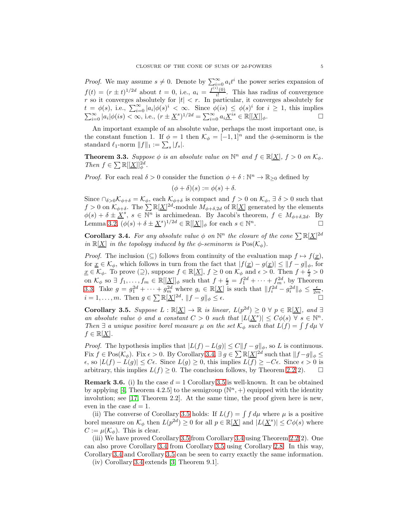*Proof.* We may assume  $s \neq 0$ . Denote by  $\sum_{i=0}^{\infty} a_i t^i$  the power series expansion of  $f(t) = (r \pm t)^{1/2d}$  about  $t = 0$ , i.e.,  $a_i = \frac{f^{(i)}(0)}{i!}$  $\frac{f(0)}{i!}$ . This has radius of convergence r so it converges absolutely for  $|t| < r$ . In particular, it converges absolutely for  $t = \phi(s)$ , i.e.,  $\sum_{i=0}^{\infty} |a_i| \phi(s)^i < \infty$ . Since  $\phi(is) \leq \phi(s)^i$  for  $i \geq 1$ , this implies  $\sum_{i=0}^{\infty} |a_i| \phi(is) < \infty$ , i.e.,  $(r \pm \underline{X}^s)^{1/2d} = \sum_{i=0}^{\infty} a_i \underline{X}^{is} \in \mathbb{R}[[\underline{X}]]_{\phi}.$ 

An important example of an absolute value, perhaps the most important one, is the constant function 1. If  $\phi = 1$  then  $\mathcal{K}_{\phi} = [-1, 1]^n$  and the  $\phi$ -seminorm is the standard  $\ell_1$ -norm  $||f||_1 := \sum_s |f_s|$ .

<span id="page-4-0"></span>**Theorem 3.3.** Suppose  $\phi$  is an absolute value on  $\mathbb{N}^n$  and  $f \in \mathbb{R}[\underline{X}]$ ,  $f > 0$  on  $\mathcal{K}_{\phi}$ . Then  $f \in \sum \mathbb{R}[[X]]_{\phi}^{2d}$ .

*Proof.* For each real  $\delta > 0$  consider the function  $\phi + \delta : \mathbb{N}^n \to \mathbb{R}_{\geq 0}$  defined by

$$
(\phi + \delta)(s) := \phi(s) + \delta.
$$

Since  $\bigcap_{\delta>0}\mathcal{K}_{\phi+\delta} = \mathcal{K}_{\phi}$ , each  $\mathcal{K}_{\phi+\delta}$  is compact and  $f > 0$  on  $\mathcal{K}_{\phi}$ ,  $\exists \delta > 0$  such that  $f > 0$  on  $\mathcal{K}_{\phi+\delta}$ . The  $\sum \mathbb{R}[\underline{X}]^{2d}$ -module  $M_{\phi+\delta,2d}$  of  $\mathbb{R}[\underline{X}]$  generated by the elements  $\phi(s) + \delta \pm \underline{X}^s$ ,  $s \in \overline{\mathbb{N}^n}$  is archimedean. By Jacobi's theorem,  $f \in M_{\phi+\delta,2d}$ . By Lemma [3.2,](#page-3-3)  $(\phi(s) + \delta \pm \underline{X}^s)^{1/2d} \in \mathbb{R}[[\underline{X}]]_\phi$  for each  $s \in \mathbb{N}^n$ .

<span id="page-4-1"></span>**Corollary 3.4.** For any absolute value  $\phi$  on  $\mathbb{N}^n$  the closure of the cone  $\sum \mathbb{R}[\underline{X}]^{2d}$ in  $\mathbb{R}[\underline{X}]$  in the topology induced by the  $\phi$ -seminorm is  $Pos(\mathcal{K}_{\phi})$ .

*Proof.* The inclusion ( $\subseteq$ ) follows from continuity of the evaluation map  $f \mapsto f(x)$ , for  $\underline{x} \in \mathcal{K}_{\phi}$ , which follows in turn from the fact that  $|f(\underline{x}) - g(\underline{x})| \leq ||f - g||_{\phi}$ , for  $\underline{x} \in \mathcal{K}_{\phi}$ . To prove  $(\supseteq)$ , suppose  $f \in \mathbb{R}[\underline{X}]$ ,  $f \geq 0$  on  $\mathcal{K}_{\phi}$  and  $\epsilon > 0$ . Then  $f + \frac{\epsilon}{2} > 0$ on  $\mathcal{K}_{\phi}$  so  $\exists f_1, \ldots, f_m \in \mathbb{R}[[\underline{X}]]_{\phi}$  such that  $f + \frac{\epsilon}{2} = f_1^{2d} + \cdots + f_m^{2d}$ , by Theorem [3.3.](#page-4-0) Take  $g = g_1^{2d} + \cdots + g_m^{2d}$  where  $g_i \in \mathbb{R}[\underline{X}]$  is such that  $||f_i^{2d} - g_i^{2d}||_{\phi} \leq \frac{\epsilon}{2m}$ ,  $i = 1, \ldots, m$ . Then  $g \in \sum \mathbb{R}[\underline{X}]^{2d}$ ,  $||f - g||_{\phi} \leq \epsilon$ .

<span id="page-4-2"></span>**Corollary 3.5.** Suppose  $L : \mathbb{R}[\underline{X}] \to \mathbb{R}$  is linear,  $L(p^{2d}) \geq 0 \ \forall \ p \in \mathbb{R}[\underline{X}]$ , and  $\exists$ an absolute value  $\phi$  and a constant  $C > 0$  such that  $|L(\underline{X}^s)| \leq C\phi(s)$   $\forall s \in \mathbb{N}^n$ . Then  $\exists$  a unique positive borel measure  $\mu$  on the set  $\mathcal{K}_{\phi}$  such that  $L(f) = \int f d\mu \ \forall$  $f \in \mathbb{R}[\underline{X}].$ 

*Proof.* The hypothesis implies that  $|L(f) - L(g)| \le C||f - g||_{\phi}$ , so L is continuous. Fix  $f \in \text{Pos}(\mathcal{K}_{\phi})$ . Fix  $\epsilon > 0$ . By Corollary [3.4,](#page-4-1)  $\exists g \in \sum \mathbb{R}[\underline{X}]^{2d}$  such that  $||f-g||_{\phi} \le$  $\epsilon$ , so  $|L(f) - L(g)| \leq C\epsilon$ . Since  $L(g) \geq 0$ , this implies  $L(f) \geq -C\epsilon$ . Since  $\epsilon > 0$  is arbitrary, this implies  $L(f) > 0$ . The conclusion follows, by Theorem 2.2(2). □ arbitrary, this implies  $L(f) \geq 0$ . The conclusion follows, by Theorem [2.2\(](#page-1-2)2).

**Remark 3.6.** (i) In the case  $d = 1$  Corollary [3.5](#page-4-2) is well-known. It can be obtained by applying [\[4,](#page-11-2) Theorem 4.2.5] to the semigroup  $(\mathbb{N}^n, +)$  equipped with the identity involution; see [\[17,](#page-11-21) Theorem 2.2]. At the same time, the proof given here is new, even in the case  $d = 1$ .

(ii) The converse of Corollary [3.5](#page-4-2) holds: If  $L(f) = \int f d\mu$  where  $\mu$  is a positive borel measure on  $\mathcal{K}_{\phi}$  then  $L(p^{2d}) \geq 0$  for all  $p \in \mathbb{R}[\underline{X}]$  and  $|L(\underline{X}^s)| \leq C\phi(s)$  where  $C := \mu(\mathcal{K}_{\phi})$ . This is clear.

(iii) We have proved Corollary [3.5](#page-4-2) from Corollary [3.4](#page-4-1) using Theorem [2.2\(](#page-1-2)2). One can also prove Corollary [3.4](#page-4-1) from Corollary [3.5](#page-4-2) using Corollary [2.8.](#page-3-4) In this way, Corollary [3.4](#page-4-1) and Corollary [3.5](#page-4-2) can be seen to carry exactly the same information.

(iv) Corollary [3.4](#page-4-1) extends [\[3,](#page-11-0) Theorem 9.1].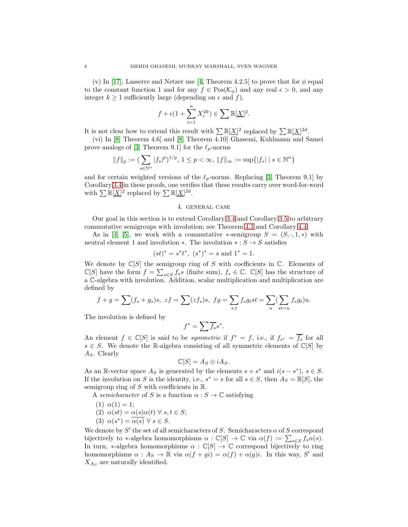(v) In [\[17\]](#page-11-21), Lasserre and Netzer use [\[4,](#page-11-2) Theorem 4.2.5] to prove that for  $\phi$  equal to the constant function 1 and for any  $f \in Pos(\mathcal{K}_{\phi})$  and any real  $\epsilon > 0$ , and any integer  $k \geq 1$  sufficiently large (depending on  $\epsilon$  and f),

$$
f + \epsilon (1 + \sum_{i=1}^{n} X_i^{2k}) \in \sum \mathbb{R}[\underline{X}]^2.
$$

It is not clear how to extend this result with  $\sum \mathbb{R}[\underline{X}]^2$  replaced by  $\sum \mathbb{R}[\underline{X}]^{2d}$ .

(vi) In [\[8,](#page-11-20) Theorem 4.6] and [\[8,](#page-11-20) Theorem 4.10] Ghasemi, Kuhlmann and Samei prove analogs of [\[3,](#page-11-0) Theorem 9.1] for the  $\ell_p$ -norms

$$
||f||_p := (\sum_{s \in \mathbb{N}^n} |f_s|^p)^{1/p}, 1 \le p < \infty, ||f||_{\infty} := \sup\{|f_s| \mid s \in \mathbb{N}^n\}
$$

and for certain weighted versions of the  $\ell_p$ -norms. Replacing [\[3,](#page-11-0) Theorem 9.1] by Corollary [3.4](#page-4-1) in these proofs, one verifies that these results carry over word-for-word with  $\sum \mathbb{R}[\underline{X}]^2$  replaced by  $\sum \mathbb{R}[\underline{X}]^{2d}$ .

#### 4. general case

<span id="page-5-0"></span>Our goal in this section is to extend Corollary [3.4](#page-4-1) and Corollary [3.5](#page-4-2) to arbitrary commutative semigroups with involution; see Theorem [4.3](#page-6-0) and Corollary [4.4.](#page-7-1)

As in [\[4\]](#page-11-2) [\[5\]](#page-11-1), we work with a commutative \*-semigroup  $S = (S, \cdot, 1, *)$  with neutral element 1 and involution  $*$ . The involution  $* : S \rightarrow S$  satisfies

$$
(st)^* = s^*t^*, (s^*)^* = s
$$
 and  $1^* = 1$ .

We denote by  $\mathbb{C}[S]$  the semigroup ring of S with coefficients in  $\mathbb{C}$ . Elements of  $\mathbb{C}[S]$  have the form  $f = \sum_{s \in S} f_s s$  (finite sum),  $f_s \in \mathbb{C}$ .  $\mathbb{C}[S]$  has the structure of a C-algebra with involution. Addition, scalar multiplication and multiplication are defined by

$$
f+g=\sum(f_s+g_s)s,\,\,zf=\sum(zf_s)s,\,\,fg=\sum_{s,t}f_sg_ts=\sum_u(\sum_{st=u}f_sg_t)u.
$$

The involution is defined by

$$
^* = \sum \overline{f_s} s^*.
$$

f

An element  $f \in \mathbb{C}[S]$  is said to be *symmetric* if  $f^* = f$ , i.e., if  $f_{s^*} = \overline{f_s}$  for all  $s \in S$ . We denote the R-algebra consisting of all symmetric elements of  $\mathbb{C}[S]$  by  $A<sub>S</sub>$ . Clearly

$$
\mathbb{C}[S] = A_S \oplus iA_S.
$$

As an R-vector space  $A_S$  is generated by the elements  $s + s^*$  and  $i(s - s^*)$ ,  $s \in S$ . If the involution on S is the identity, i.e.,  $s^* = s$  for all  $s \in S$ , then  $A_S = \mathbb{R}[S]$ , the semigroup ring of  $S$  with coefficients in  $\mathbb{R}$ .

A semicharacter of S is a function  $\alpha : S \to \mathbb{C}$  satisfying

- (1)  $\alpha(1) = 1;$
- (2)  $\alpha(st) = \alpha(s)\alpha(t) \ \forall \ s, t \in S;$
- (3)  $\alpha(s^*) = \overline{\alpha(s)} \ \forall \ s \in S.$

We denote by  $S'$  the set of all semicharacters of S. Semicharacters  $\alpha$  of S correspond bijectively to \*-algebra homomorphisms  $\alpha : \mathbb{C}[S] \to \mathbb{C}$  via  $\alpha(f) := \sum_{s \in S} f_s \alpha(s)$ . In turn, \*-algebra homomorphisms  $\alpha : \mathbb{C}[S] \to \mathbb{C}$  correspond bijectively to ring homomorphisms  $\alpha : A_S \to \mathbb{R}$  via  $\alpha(f + gi) = \alpha(f) + \alpha(g)i$ . In this way, S' and  $X_{A_S}$  are naturally identified.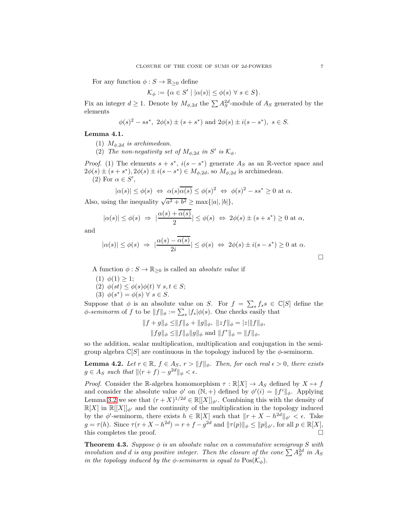For any function  $\phi : S \to \mathbb{R}_{\geq 0}$  define

$$
\mathcal{K}_{\phi} := \{ \alpha \in S' \mid |\alpha(s)| \leq \phi(s) \ \forall \ s \in S \}.
$$

Fix an integer  $d \geq 1$ . Denote by  $M_{\phi,2d}$  the  $\sum A_S^{2d}$ -module of  $A_S$  generated by the elements

$$
\phi(s)^2 - ss^*
$$
,  $2\phi(s) \pm (s + s^*)$  and  $2\phi(s) \pm i(s - s^*)$ ,  $s \in S$ .

## <span id="page-6-1"></span>Lemma 4.1.

- (1)  $M_{\phi,2d}$  is archimedean.
- (2) The non-negativity set of  $M_{\phi,2d}$  in S' is  $\mathcal{K}_{\phi}$ .

*Proof.* (1) The elements  $s + s^*$ ,  $i(s - s^*)$  generate  $A_s$  as an R-vector space and  $2\phi(s) \pm (s + s^*)$ ,  $2\phi(s) \pm i(s - s^*) \in M_{\phi, 2d}$ , so  $M_{\phi, 2d}$  is archimedean.

(2) For  $\alpha \in S'$ ,

$$
|\alpha(s)| \le \phi(s) \iff \alpha(s)\overline{\alpha(s)} \le \phi(s)^2 \iff \phi(s)^2 - ss^* \ge 0 \text{ at } \alpha.
$$

Also, using the inequality  $\sqrt{a^2 + b^2} \ge \max\{|a|, |b|\},$ 

$$
|\alpha(s)| \le \phi(s) \Rightarrow |\frac{\alpha(s) + \alpha(s)}{2}| \le \phi(s) \Leftrightarrow 2\phi(s) \pm (s + s^*) \ge 0 \text{ at } \alpha,
$$

and

$$
|\alpha(s)| \le \phi(s) \Rightarrow |\frac{\alpha(s) - \overline{\alpha(s)}}{2i}| \le \phi(s) \Leftrightarrow 2\phi(s) \pm i(s - s^*) \ge 0
$$
 at  $\alpha$ .

A function  $\phi : S \to \mathbb{R}_{\geq 0}$  is called an *absolute value* if

(1)  $\phi(1) \geq 1$ ; (2)  $\phi(st) \leq \phi(s)\phi(t) \ \forall \ s, t \in S;$ (3)  $\phi(s^*) = \phi(s) \ \forall \ s \in S$ .

Suppose that  $\phi$  is an absolute value on S. For  $f = \sum_{s} f_s s \in \mathbb{C}[S]$  define the  $\phi$ -seminorm of f to be  $||f||_{\phi} := \sum_{s} |f_s| \phi(s)$ . One checks easily that

$$
||f + g||_{\phi} \le ||f||_{\phi} + ||g||_{\phi}, ||zf||_{\phi} = |z|||f||_{\phi},
$$
  

$$
||fg||_{\phi} \le ||f||_{\phi} ||g||_{\phi} \text{ and } ||f^*||_{\phi} = ||f||_{\phi},
$$

so the addition, scalar multiplication, multiplication and conjugation in the semigroup algebra  $\mathbb{C}[S]$  are continuous in the topology induced by the  $\phi$ -seminorm.

<span id="page-6-2"></span>**Lemma 4.2.** Let  $r \in \mathbb{R}$ ,  $f \in A_S$ ,  $r > ||f||_{\phi}$ . Then, for each real  $\epsilon > 0$ , there exists  $g \in A_S$  such that  $||(r + f) - g^{2d}||_{\phi} < \epsilon$ .

*Proof.* Consider the R-algebra homomorphism  $\tau : \mathbb{R}[X] \to A_S$  defined by  $X \mapsto f$ and consider the absolute value  $\phi'$  on  $(\mathbb{N}, +)$  defined by  $\phi'(i) = ||f^i||_{\phi}$ . Applying Lemma [3.2](#page-3-3) we see that  $(r+X)^{1/2d} \in \mathbb{R}[[X]]_{\phi'}$ . Combining this with the density of  $\mathbb{R}[X]$  in  $\mathbb{R}[[X]]_{\phi'}$  and the continuity of the multiplication in the topology induced by the  $\phi'$ -seminorm, there exists  $h \in \mathbb{R}[X]$  such that  $||r + X - h^{2d}||_{\phi'} < \epsilon$ . Take  $g = \tau(h)$ . Since  $\tau(r + X - h^{2d}) = r + f - g^{2d}$  and  $\|\tau(p)\|_{\phi} \le \|p\|_{\phi'}$ , for all  $p \in \mathbb{R}[X]$ , this completes the proof.

<span id="page-6-0"></span>**Theorem 4.3.** Suppose  $\phi$  is an absolute value on a commutative semigroup S with involution and d is any positive integer. Then the closure of the cone  $\sum A_S^{2d}$  in  $A_S$ in the topology induced by the  $\phi$ -seminorm is equal to  $Pos(\mathcal{K}_{\phi})$ .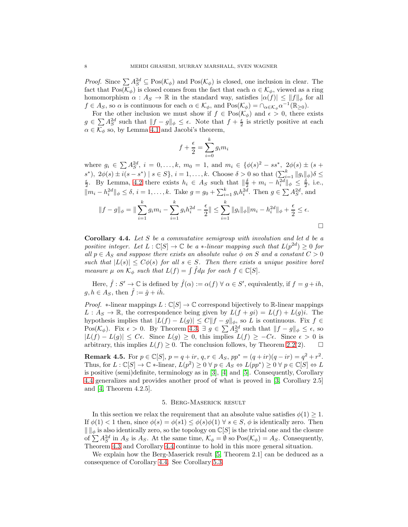*Proof.* Since  $\sum A_S^{2d} \subseteq \text{Pos}(\mathcal{K}_{\phi})$  and  $\text{Pos}(\mathcal{K}_{\phi})$  is closed, one inclusion in clear. The fact that Pos( $\mathcal{K}_{\phi}$ ) is closed comes from the fact that each  $\alpha \in \mathcal{K}_{\phi}$ , viewed as a ring homomorphism  $\alpha : A_S \to \mathbb{R}$  in the standard way, satisfies  $|\alpha(f)| \leq ||f||_{\phi}$  for all  $f \in A_S$ , so  $\alpha$  is continuous for each  $\alpha \in \mathcal{K}_{\phi}$ , and  $\text{Pos}(\mathcal{K}_{\phi}) = \cap_{\alpha \in \mathcal{K}_{\phi}} \alpha^{-1}(\mathbb{R}_{\geq 0})$ .

For the other inclusion we must show if  $f \in Pos(\mathcal{K}_{\phi})$  and  $\epsilon > 0$ , there exists  $g \in \sum A_S^{2d}$  such that  $||f - g||_{\phi} \leq \epsilon$ . Note that  $f + \frac{\epsilon}{2}$  is strictly positive at each  $\alpha \in \mathcal{K}_{\phi}$  so, by Lemma [4.1](#page-6-1) and Jacobi's theorem,

$$
f + \frac{\epsilon}{2} = \sum_{i=0}^{k} g_i m_i
$$

where  $g_i \in \sum A_S^{2d}$ ,  $i = 0, ..., k$ ,  $m_0 = 1$ , and  $m_i \in {\phi(s)^2 - ss^*}$ ,  $2\phi(s) \pm (s +$  $s^*$ ),  $2\phi(s) \pm i(s - s^*) \mid s \in S$ ,  $i = 1, ..., k$ . Choose  $\delta > 0$  so that  $\left(\sum_{i=1}^k ||g_i||_{\phi}\right) \delta \leq \frac{\epsilon}{2}$ . By Lemma, [4.2](#page-6-2) there exists  $h_i \in A_S$  such that  $\|\frac{\delta}{2} + m_i - h_i^{2d}\|_{\phi} \leq \frac{\delta}{2}$ , i.e.,  $||m_i - h_i^{2d}||_{\phi} \leq \delta, i = 1, ..., k$ . Take  $g = g_0 + \sum_{i=1}^k g_i h_i^{2d}$ . Then  $g \in \sum A_S^{2d}$ , and

$$
||f - g||_{\phi} = ||\sum_{i=1}^{k} g_i m_i - \sum_{i=1}^{k} g_i h_i^{2d} - \frac{\epsilon}{2}|| \le \sum_{i=1}^{k} ||g_i||_{\phi} ||m_i - h_i^{2d}||_{\phi} + \frac{\epsilon}{2} \le \epsilon.
$$

<span id="page-7-1"></span>**Corollary 4.4.** Let S be a commutative semigroup with involution and let d be a positive integer. Let 
$$
L : \mathbb{C}[S] \to \mathbb{C}
$$
 be a \*-linear mapping such that  $L(p^{2d}) \ge 0$  for all  $p \in A_S$  and suppose there exists an absolute value  $\phi$  on S and a constant  $C > 0$  such that  $|L(s)| \le C\phi(s)$  for all  $s \in S$ . Then there exists a unique positive borel measure  $\mu$  on  $K_{\phi}$  such that  $L(f) = \int \hat{f} d\mu$  for each  $f \in \mathbb{C}[S]$ .

Here,  $\hat{f}: S' \to \mathbb{C}$  is defined by  $\hat{f}(\alpha) := \alpha(f) \ \forall \ \alpha \in S'$ , equivalently, if  $f = g + ih$ ,  $g, h \in A_S$ , then  $\hat{f} := \hat{g} + i\hat{h}$ .

*Proof.*  $*$ -linear mappings  $L : \mathbb{C}[S] \to \mathbb{C}$  correspond bijectively to R-linear mappings  $L: A_S \to \mathbb{R}$ , the correspondence being given by  $L(f+gi) = L(f) + L(g)i$ . The hypothesis implies that  $|L(f) - L(g)| \leq C ||f - g||_{\phi}$ , so L is continuous. Fix  $f \in$  $Pos(\mathcal{K}_{\phi})$ . Fix  $\epsilon > 0$ . By Theorem [4.3,](#page-6-0)  $\exists g \in \sum A_S^{2d}$  such that  $||f - g||_{\phi} \leq \epsilon$ , so  $|L(f) - L(g)| \leq C\epsilon$ . Since  $L(g) \geq 0$ , this implies  $L(f) \geq -C\epsilon$ . Since  $\epsilon > 0$  is arbitrary, this implies  $L(f) > 0$ . The conclusion follows, by Theorem 2.2(2). arbitrary, this implies  $L(f) \geq 0$ . The conclusion follows, by Theorem [2.2\(](#page-1-2)2).

**Remark 4.5.** For  $p \in \mathbb{C}[S]$ ,  $p = q + ir$ ,  $q, r \in A_S$ ,  $pp^* = (q + ir)(q - ir) = q^2 + r^2$ . Thus, for  $L : \mathbb{C}[S] \to \mathbb{C}$  \*-linear,  $L(p^2) \ge 0 \ \forall \ p \in A_S \Leftrightarrow L(pp^*) \ge 0 \ \forall \ p \in \mathbb{C}[S] \Leftrightarrow L$ is positive (semi)definite, terminology as in [\[3\]](#page-11-0), [\[4\]](#page-11-2) and [\[5\]](#page-11-1). Consequently, Corollary [4.4](#page-7-1) generalizes and provides another proof of what is proved in [\[3,](#page-11-0) Corollary 2.5] and [\[4,](#page-11-2) Theorem 4.2.5].

## 5. Berg-Maserick result

<span id="page-7-0"></span>In this section we relax the requirement that an absolute value satisfies  $\phi(1) \geq 1$ . If  $\phi(1) < 1$  then, since  $\phi(s) = \phi(s) \leq \phi(s) \phi(1) \ \forall s \in S$ ,  $\phi$  is identically zero. Then  $\| \cdot \|_{\phi}$  is also identically zero, so the topology on  $\mathbb{C}[S]$  is the trivial one and the closure of  $\sum A_S^{2d}$  in  $A_S$  is  $A_S$ . At the same time,  $\mathcal{K}_{\phi} = \emptyset$  so  $\text{Pos}(\mathcal{K}_{\phi}) = A_S$ . Consequently, Theorem [4.3](#page-6-0) and Corollary [4.4](#page-7-1) continue to hold in this more general situation.

We explain how the Berg-Maserick result [\[5,](#page-11-1) Theorem 2.1] can be deduced as a consequence of Corollary [4.4.](#page-7-1) See Corollary [5.3.](#page-9-1)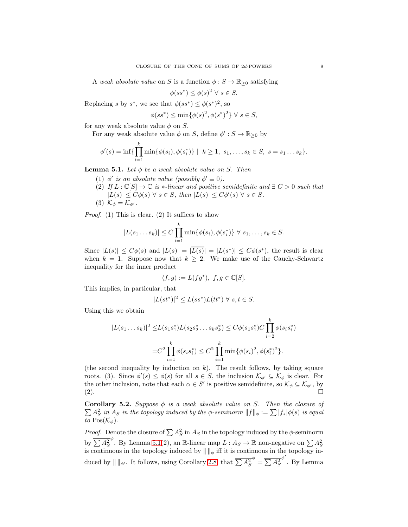A weak absolute value on S is a function  $\phi : S \to \mathbb{R}_{\geq 0}$  satisfying

$$
\phi(ss^*) \le \phi(s)^2 \ \forall \ s \in S.
$$

Replacing s by  $s^*$ , we see that  $\phi(ss^*) \leq \phi(s^*)^2$ , so

$$
\phi(ss^*) \le \min\{\phi(s)^2, \phi(s^*)^2\} \ \forall \ s \in S,
$$

for any weak absolute value  $\phi$  on S.

For any weak absolute value  $\phi$  on  $S,$  define  $\phi':S\to \mathbb{R}_{\geq 0}$  by

$$
\phi'(s) = \inf \{ \prod_{i=1}^k \min \{ \phi(s_i), \phi(s_i^*) \} \mid k \ge 1, s_1, \dots, s_k \in S, s = s_1 \dots s_k \}.
$$

<span id="page-8-0"></span>**Lemma 5.1.** Let  $\phi$  be a weak absolute value on S. Then

- (1)  $\phi'$  is an absolute value (possibly  $\phi' \equiv 0$ ).
- (2) If  $L : \mathbb{C}[S] \to \mathbb{C}$  is  $*$ -linear and positive semidefinite and  $\exists C > 0$  such that  $|L(s)| \leq C\phi(s) \ \forall \ s \in S, \ then \ |L(s)| \leq C\phi'(s) \ \forall \ s \in S.$
- (3)  $\mathcal{K}_{\phi} = \mathcal{K}_{\phi'}$ .

*Proof.* (1) This is clear. (2) It suffices to show

$$
|L(s_1...s_k)| \le C \prod_{i=1}^k \min{\{\phi(s_i), \phi(s_i^*)\}} \ \forall \ s_1,...,s_k \in S.
$$

Since  $|L(s)| \leq C\phi(s)$  and  $|L(s)| = |\overline{L(s)}| = |L(s^*)| \leq C\phi(s^*)$ , the result is clear when  $k = 1$ . Suppose now that  $k \geq 2$ . We make use of the Cauchy-Schwartz inequality for the inner product

$$
\langle f, g \rangle := L(fg^*), \ f, g \in \mathbb{C}[S].
$$

This implies, in particular, that

$$
|L(st^*)|^2 \le L(ss^*)L(tt^*) \,\forall\ s,t \in S.
$$

Using this we obtain

$$
|L(s_1...s_k)|^2 \le L(s_1s_1^*)L(s_2s_2^*...s_ks_k^*) \le C\phi(s_1s_1^*)C\prod_{i=2}^k \phi(s_is_i^*)
$$
  

$$
= C^2\prod_{i=1}^k \phi(s_is_i^*) \le C^2\prod_{i=1}^k \min{\{\phi(s_i)^2, \phi(s_i^*)^2\}}.
$$

(the second inequality by induction on  $k$ ). The result follows, by taking square roots. (3). Since  $\phi'(s) \leq \phi(s)$  for all  $s \in S$ , the inclusion  $\mathcal{K}_{\phi'} \subseteq \mathcal{K}_{\phi}$  is clear. For the other inclusion, note that each  $\alpha \in S'$  is positive semidefinite, so  $\mathcal{K}_{\phi} \subseteq \mathcal{K}_{\phi'}$ , by  $(2).$ 

<span id="page-8-1"></span> $\sum_{s} A_s^2$  in  $A_s$  in the topology induced by the  $\phi$ -seminorm  $||f||_{\phi} := \sum |f_s| \phi(s)$  is equal Corollary 5.2. Suppose  $\phi$  is a weak absolute value on S. Then the closure of to  $Pos(\mathcal{K}_{\phi})$ .

*Proof.* Denote the closure of  $\sum A_S^2$  in  $A_S$  in the topology induced by the  $\phi$ -seminorm by  $\sum A_S^2$ by  $\overline{\sum A_S^2}^{\phi}$ . By Lemma [5.1\(](#page-8-0)2), an R-linear map  $L : A_S \to \mathbb{R}$  non-negative on  $\sum A_S^2$  is continuous in the topology induced by  $\| \cdot \|_{\phi}$  iff it is continuous in the topology induced by  $\| \ \|_{\phi'}$ . It follows, using Corollary [2.8,](#page-3-4) that  $\sum A_S^2$  $\phi = \overline{\sum A_S^2}$ φ ′ . By Lemma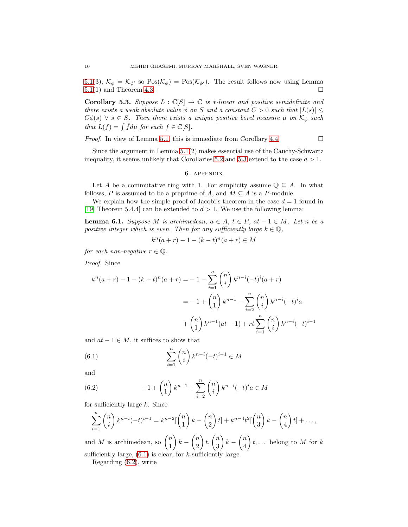[5.1\(](#page-8-0)3),  $\mathcal{K}_{\phi} = \mathcal{K}_{\phi'}$  so  $\text{Pos}(\mathcal{K}_{\phi}) = \text{Pos}(\mathcal{K}_{\phi'})$ . The result follows now using Lemma 5.1(1) and Theorem 4.3. [5.1\(](#page-8-0)1) and Theorem [4.3.](#page-6-0)

<span id="page-9-1"></span>Corollary 5.3. Suppose  $L : \mathbb{C}[S] \to \mathbb{C}$  is  $*$ -linear and positive semidefinite and there exists a weak absolute value  $\phi$  on S and a constant  $C > 0$  such that  $|L(s)| \leq$  $C\phi(s)$   $\forall$  s  $\in$  S. Then there exists a unique positive borel measure  $\mu$  on  $\mathcal{K}_{\phi}$  such that  $L(f) = \int \hat{f} d\mu$  for each  $f \in \mathbb{C}[S]$ .

*Proof.* In view of Lemma [5.1,](#page-8-0) this is immediate from Corollary [4.4.](#page-7-1)  $\Box$ 

<span id="page-9-0"></span>Since the argument in Lemma [5.1\(](#page-8-0)2) makes essential use of the Cauchy-Schwartz inequality, it seems unlikely that Corollaries [5.2](#page-8-1) and [5.3](#page-9-1) extend to the case  $d > 1$ .

#### 6. appendix

Let A be a commutative ring with 1. For simplicity assume  $\mathbb{Q} \subseteq A$ . In what follows, P is assumed to be a preprime of A, and  $M \subseteq A$  is a P-module.

We explain how the simple proof of Jacobi's theorem in the case  $d = 1$  found in [\[19,](#page-11-11) Theorem 5.4.4] can be extended to  $d > 1$ . We use the following lemma:

<span id="page-9-4"></span>**Lemma 6.1.** Suppose M is archimedean,  $a \in A$ ,  $t \in P$ ,  $at -1 \in M$ . Let n be a positive integer which is even. Then for any sufficiently large  $k \in \mathbb{Q}$ ,

$$
k^{n}(a+r) - 1 - (k-t)^{n}(a+r) \in M
$$

for each non-negative  $r \in \mathbb{Q}$ .

Proof. Since

$$
k^{n}(a+r) - 1 - (k-t)^{n}(a+r) = -1 - \sum_{i=1}^{n} {n \choose i} k^{n-i} (-t)^{i} (a+r)
$$
  
= -1 +  ${n \choose 1} k^{n-1} - \sum_{i=2}^{n} {n \choose i} k^{n-i} (-t)^{i} a$   
+  ${n \choose 1} k^{n-1} (at-1) + rt \sum_{i=1}^{n} {n \choose i} k^{n-i} (-t)^{i-1}$ 

and  $at - 1 \in M$ , it suffices to show that

<span id="page-9-2"></span>(6.1) 
$$
\sum_{i=1}^{n} \binom{n}{i} k^{n-i} (-t)^{i-1} \in M
$$

and

<span id="page-9-3"></span>(6.2) 
$$
-1 + {n \choose 1} k^{n-1} - \sum_{i=2}^{n} {n \choose i} k^{n-i} (-t)^{i} a \in M
$$

for sufficiently large  $k$ . Since

$$
\sum_{i=1}^{n} {n \choose i} k^{n-i} (-t)^{i-1} = k^{n-2} \left[ {n \choose 1} k - {n \choose 2} t \right] + k^{n-4} t^2 \left[ {n \choose 3} k - {n \choose 4} t \right] + \dots,
$$

and M is archimedean, so  $\binom{n}{1}$ 1  $\bigg) k - \bigg( \begin{matrix} n \\ 2 \end{matrix}$ 2  $\Big\}$ t,  $\Big\{n \atop 2\Big\}$ 3  $\bigg) k - \binom{n}{4}$ 4  $t, \ldots$  belong to M for k sufficiently large,  $(6.1)$  is clear, for k sufficiently large.

Regarding [\(6.2\)](#page-9-3), write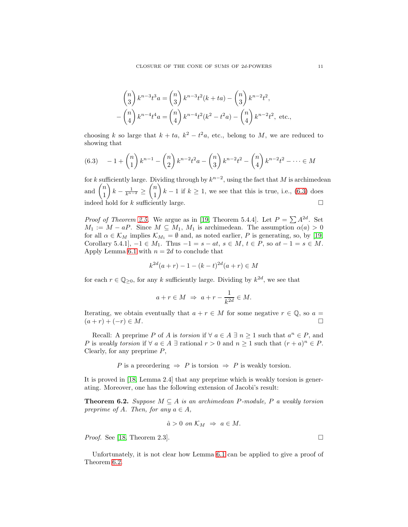$$
\binom{n}{3} k^{n-3} t^3 a = \binom{n}{3} k^{n-3} t^2 (k+ta) - \binom{n}{3} k^{n-2} t^2,
$$
  
-
$$
\binom{n}{4} k^{n-4} t^4 a = \binom{n}{4} k^{n-4} t^2 (k^2 - t^2 a) - \binom{n}{4} k^{n-2} t^2, \text{ etc.},
$$

choosing k so large that  $k + ta$ ,  $k^2 - t^2a$ , etc., belong to M, we are reduced to showing that

<span id="page-10-0"></span>
$$
(6.3) \quad -1 + \binom{n}{1} k^{n-1} - \binom{n}{2} k^{n-2} t^2 a - \binom{n}{3} k^{n-2} t^2 - \binom{n}{4} k^{n-2} t^2 - \dots \in M
$$

for k sufficiently large. Dividing through by  $k^{n-2}$ , using the fact that M is archimedean and  $\binom{n}{1}$ 1  $\bigg\}\,k-\frac{1}{k^{n-2}}\,\geq\,$  $\sqrt{n}$ 1  $k-1$  if  $k≥1$ , we see that this is true, i.e., [\(6.3\)](#page-10-0) does indeed hold for k sufficiently large.  $\Box$ 

*Proof of Theorem [2.5.](#page-2-1)* We argue as in [\[19,](#page-11-11) Theorem 5.4.4]. Let  $P = \sum A^{2d}$ . Set  $M_1 := M - aP$ . Since  $M \subseteq M_1, M_1$  is archimedean. The assumption  $\alpha(a) > 0$ for all  $\alpha \in \mathcal{K}_M$  implies  $\mathcal{K}_{M_1} = \emptyset$  and, as noted earlier, P is generating, so, by [\[19,](#page-11-11) Corollary 5.4.1],  $-1 \in M_1$ . Thus  $-1 = s - at$ ,  $s \in M$ ,  $t \in P$ , so  $at - 1 = s \in M$ . Apply Lemma [6.1](#page-9-4) with  $n = 2d$  to conclude that

$$
k^{2d}(a+r) - 1 - (k-t)^{2d}(a+r) \in M
$$

for each  $r \in \mathbb{Q}_{\geq 0}$ , for any k sufficiently large. Dividing by  $k^{2d}$ , we see that

$$
a + r \in M \Rightarrow a + r - \frac{1}{k^{2d}} \in M.
$$

Iterating, we obtain eventually that  $a + r \in M$  for some negative  $r \in \mathbb{Q}$ , so  $a = (a+r)+(-r) \in M$ .  $(a + r) + (-r) \in M$ .

Recall: A preprime P of A is torsion if  $\forall a \in A \exists n \geq 1$  such that  $a^n \in P$ , and P is weakly torsion if  $\forall a \in A \exists$  rational  $r > 0$  and  $n \ge 1$  such that  $(r+a)^n \in P$ . Clearly, for any preprime  $P$ ,

P is a preordering  $\Rightarrow$  P is torsion  $\Rightarrow$  P is weakly torsion.

It is proved in [\[18,](#page-11-18) Lemma 2.4] that any preprime which is weakly torsion is generating. Moreover, one has the following extension of Jacobi's result:

<span id="page-10-1"></span>**Theorem 6.2.** Suppose  $M \subseteq A$  is an archimedean P-module, P a weakly torsion preprime of A. Then, for any  $a \in A$ ,

$$
\hat{a} > 0 \text{ on } \mathcal{K}_M \Rightarrow a \in M.
$$

*Proof.* See [\[18,](#page-11-18) Theorem 2.3].

Unfortunately, it is not clear how Lemma [6.1](#page-9-4) can be applied to give a proof of Theorem [6.2.](#page-10-1)